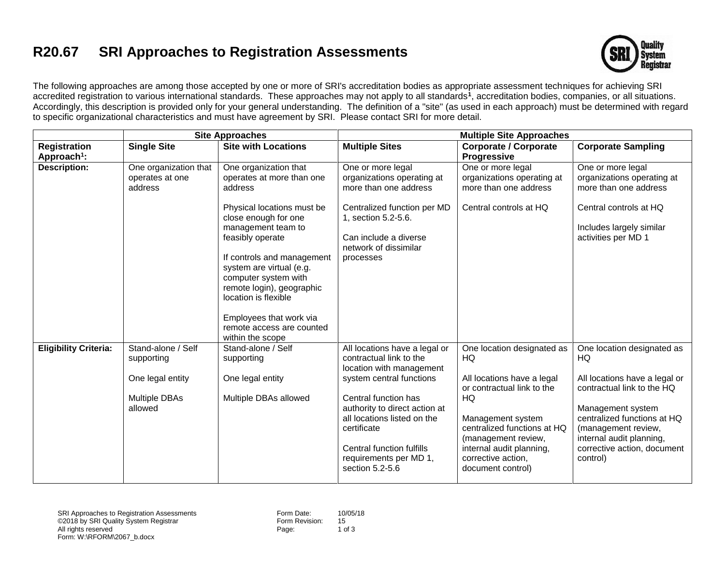## **R20.67 SRI Approaches to Registration Assessments**



The following approaches are among those accepted by one or more of SRI's accreditation bodies as appropriate assessment techniques for achieving SRI accredited registration to various international standards. These approaches may not apply to all standards**<sup>1</sup>** , accreditation bodies, companies, or all situations. Accordingly, this description is provided only for your general understanding. The definition of a "site" (as used in each approach) must be determined with regard to specific organizational characteristics and must have agreement by SRI. Please contact SRI for more detail.

|                              | <b>Site Approaches</b>                                                           |                                                                                                                                                                                                                                                                                                                 | <b>Multiple Site Approaches</b>                                                                                                                                                                                                                                                                   |                                                                                                                                                                                                                                                      |                                                                                                                                                                                                                                                   |
|------------------------------|----------------------------------------------------------------------------------|-----------------------------------------------------------------------------------------------------------------------------------------------------------------------------------------------------------------------------------------------------------------------------------------------------------------|---------------------------------------------------------------------------------------------------------------------------------------------------------------------------------------------------------------------------------------------------------------------------------------------------|------------------------------------------------------------------------------------------------------------------------------------------------------------------------------------------------------------------------------------------------------|---------------------------------------------------------------------------------------------------------------------------------------------------------------------------------------------------------------------------------------------------|
| <b>Registration</b>          | <b>Single Site</b>                                                               | <b>Site with Locations</b>                                                                                                                                                                                                                                                                                      | <b>Multiple Sites</b>                                                                                                                                                                                                                                                                             | <b>Corporate / Corporate</b>                                                                                                                                                                                                                         | <b>Corporate Sampling</b>                                                                                                                                                                                                                         |
| Approach <sup>1</sup> :      |                                                                                  |                                                                                                                                                                                                                                                                                                                 |                                                                                                                                                                                                                                                                                                   | <b>Progressive</b>                                                                                                                                                                                                                                   |                                                                                                                                                                                                                                                   |
| <b>Description:</b>          | One organization that<br>operates at one<br>address                              | One organization that<br>operates at more than one<br>address                                                                                                                                                                                                                                                   | One or more legal<br>organizations operating at<br>more than one address                                                                                                                                                                                                                          | One or more legal<br>organizations operating at<br>more than one address                                                                                                                                                                             | One or more legal<br>organizations operating at<br>more than one address                                                                                                                                                                          |
|                              |                                                                                  | Physical locations must be<br>close enough for one<br>management team to<br>feasibly operate<br>If controls and management<br>system are virtual (e.g.<br>computer system with<br>remote login), geographic<br>location is flexible<br>Employees that work via<br>remote access are counted<br>within the scope | Centralized function per MD<br>1, section 5.2-5.6.<br>Can include a diverse<br>network of dissimilar<br>processes                                                                                                                                                                                 | Central controls at HQ                                                                                                                                                                                                                               | Central controls at HQ<br>Includes largely similar<br>activities per MD 1                                                                                                                                                                         |
| <b>Eligibility Criteria:</b> | Stand-alone / Self<br>supporting<br>One legal entity<br>Multiple DBAs<br>allowed | Stand-alone / Self<br>supporting<br>One legal entity<br>Multiple DBAs allowed                                                                                                                                                                                                                                   | All locations have a legal or<br>contractual link to the<br>location with management<br>system central functions<br>Central function has<br>authority to direct action at<br>all locations listed on the<br>certificate<br>Central function fulfills<br>requirements per MD 1,<br>section 5.2-5.6 | One location designated as<br>HQ<br>All locations have a legal<br>or contractual link to the<br>HQ<br>Management system<br>centralized functions at HQ<br>(management review,<br>internal audit planning,<br>corrective action,<br>document control) | One location designated as<br>HQ<br>All locations have a legal or<br>contractual link to the HQ<br>Management system<br>centralized functions at HQ<br>(management review,<br>internal audit planning,<br>corrective action, document<br>control) |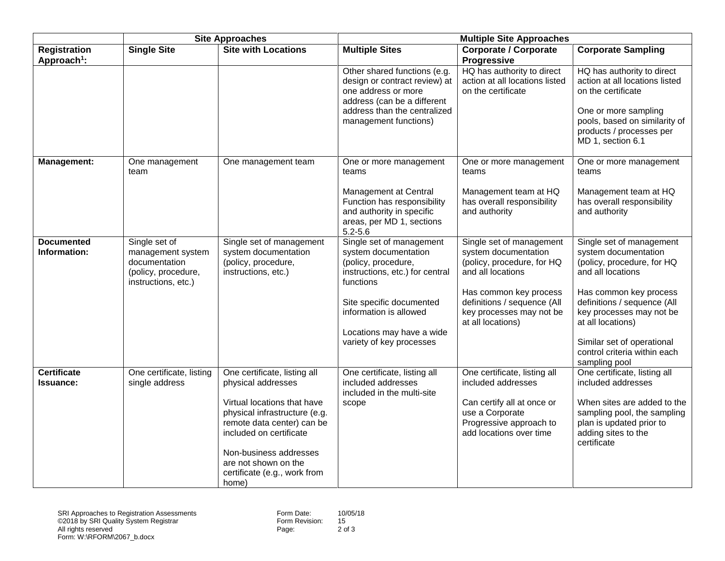|                                                | <b>Site Approaches</b>                                                                            |                                                                                                                                                                                                                  | <b>Multiple Site Approaches</b>                                                                                                                                              |                                                                                                        |                                                                                                                                                                                              |  |
|------------------------------------------------|---------------------------------------------------------------------------------------------------|------------------------------------------------------------------------------------------------------------------------------------------------------------------------------------------------------------------|------------------------------------------------------------------------------------------------------------------------------------------------------------------------------|--------------------------------------------------------------------------------------------------------|----------------------------------------------------------------------------------------------------------------------------------------------------------------------------------------------|--|
| <b>Registration</b><br>Approach <sup>1</sup> : | <b>Single Site</b>                                                                                | <b>Site with Locations</b>                                                                                                                                                                                       | <b>Multiple Sites</b>                                                                                                                                                        | <b>Corporate / Corporate</b><br>Progressive                                                            | <b>Corporate Sampling</b>                                                                                                                                                                    |  |
|                                                |                                                                                                   |                                                                                                                                                                                                                  | Other shared functions (e.g.<br>design or contract review) at<br>one address or more<br>address (can be a different<br>address than the centralized<br>management functions) | HQ has authority to direct<br>action at all locations listed<br>on the certificate                     | HQ has authority to direct<br>action at all locations listed<br>on the certificate<br>One or more sampling<br>pools, based on similarity of<br>products / processes per<br>MD 1, section 6.1 |  |
| Management:                                    | One management<br>team                                                                            | One management team                                                                                                                                                                                              | One or more management<br>teams                                                                                                                                              | One or more management<br>teams                                                                        | One or more management<br>teams                                                                                                                                                              |  |
|                                                |                                                                                                   |                                                                                                                                                                                                                  | Management at Central<br>Function has responsibility<br>and authority in specific<br>areas, per MD 1, sections<br>$5.2 - 5.6$                                                | Management team at HQ<br>has overall responsibility<br>and authority                                   | Management team at HQ<br>has overall responsibility<br>and authority                                                                                                                         |  |
| <b>Documented</b><br>Information:              | Single set of<br>management system<br>documentation<br>(policy, procedure,<br>instructions, etc.) | Single set of management<br>system documentation<br>(policy, procedure,<br>instructions, etc.)                                                                                                                   | Single set of management<br>system documentation<br>(policy, procedure,<br>instructions, etc.) for central<br>functions                                                      | Single set of management<br>system documentation<br>(policy, procedure, for HQ<br>and all locations    | Single set of management<br>system documentation<br>(policy, procedure, for HQ<br>and all locations                                                                                          |  |
|                                                |                                                                                                   |                                                                                                                                                                                                                  | Site specific documented<br>information is allowed                                                                                                                           | Has common key process<br>definitions / sequence (All<br>key processes may not be<br>at all locations) | Has common key process<br>definitions / sequence (All<br>key processes may not be<br>at all locations)                                                                                       |  |
|                                                |                                                                                                   |                                                                                                                                                                                                                  | Locations may have a wide<br>variety of key processes                                                                                                                        |                                                                                                        | Similar set of operational<br>control criteria within each<br>sampling pool                                                                                                                  |  |
| <b>Certificate</b><br><b>Issuance:</b>         | One certificate, listing<br>single address                                                        | One certificate, listing all<br>physical addresses                                                                                                                                                               | One certificate, listing all<br>included addresses<br>included in the multi-site                                                                                             | One certificate, listing all<br>included addresses                                                     | One certificate, listing all<br>included addresses                                                                                                                                           |  |
|                                                |                                                                                                   | Virtual locations that have<br>physical infrastructure (e.g.<br>remote data center) can be<br>included on certificate<br>Non-business addresses<br>are not shown on the<br>certificate (e.g., work from<br>home) | scope                                                                                                                                                                        | Can certify all at once or<br>use a Corporate<br>Progressive approach to<br>add locations over time    | When sites are added to the<br>sampling pool, the sampling<br>plan is updated prior to<br>adding sites to the<br>certificate                                                                 |  |